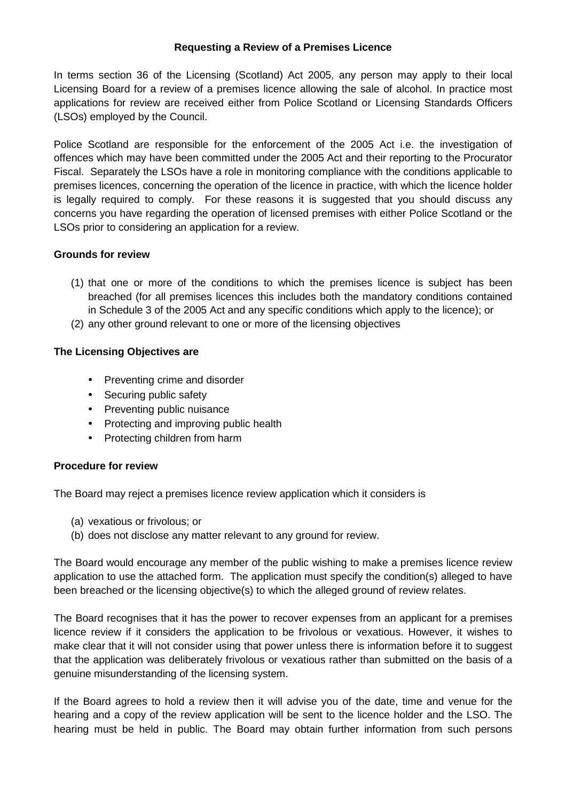## **Requesting a Review of a Premises Licence**

In terms section 36 of the Licensing (Scotland) Act 2005, any person may apply to their local Licensing Board for a review of a premises licence allowing the sale of alcohol. In practice most applications for review are received either from Police Scotland or Licensing Standards Officers (LSOs) employed by the Council.

Police Scotland are responsible for the enforcement of the 2005 Act i.e. the investigation of offences which may have been committed under the 2005 Act and their reporting to the Procurator Fiscal. Separately the LSOs have a role in monitoring compliance with the conditions applicable to premises licences, concerning the operation of the licence in practice, with which the licence holder is legally required to comply. For these reasons it is suggested that you should discuss any concerns you have regarding the operation of licensed premises with either Police Scotland or the LSOs prior to considering an application for a review.

## **Grounds for review**

- (1) that one or more of the conditions to which the premises licence is subject has been breached (for all premises licences this includes both the mandatory conditions contained in Schedule 3 of the 2005 Act and any specific conditions which apply to the licence); or
- (2) any other ground relevant to one or more of the licensing objectives

## **The Licensing Objectives are**

- Preventing crime and disorder
- Securing public safety
- Preventing public nuisance
- Protecting and improving public health
- Protecting children from harm

#### **Procedure for review**

The Board may reject a premises licence review application which it considers is

- (a) vexatious or frivolous; or
- (b) does not disclose any matter relevant to any ground for review.

The Board would encourage any member of the public wishing to make a premises licence review application to use the attached form. The application must specify the condition(s) alleged to have been breached or the licensing objective(s) to which the alleged ground of review relates.

The Board recognises that it has the power to recover expenses from an applicant for a premises licence review if it considers the application to be frivolous or vexatious. However, it wishes to make clear that it will not consider using that power unless there is information before it to suggest that the application was deliberately frivolous or vexatious rather than submitted on the basis of a genuine misunderstanding of the licensing system.

If the Board agrees to hold a review then it will advise you of the date, time and venue for the hearing and a copy of the review application will be sent to the licence holder and the LSO. The hearing must be held in public. The Board may obtain further information from such persons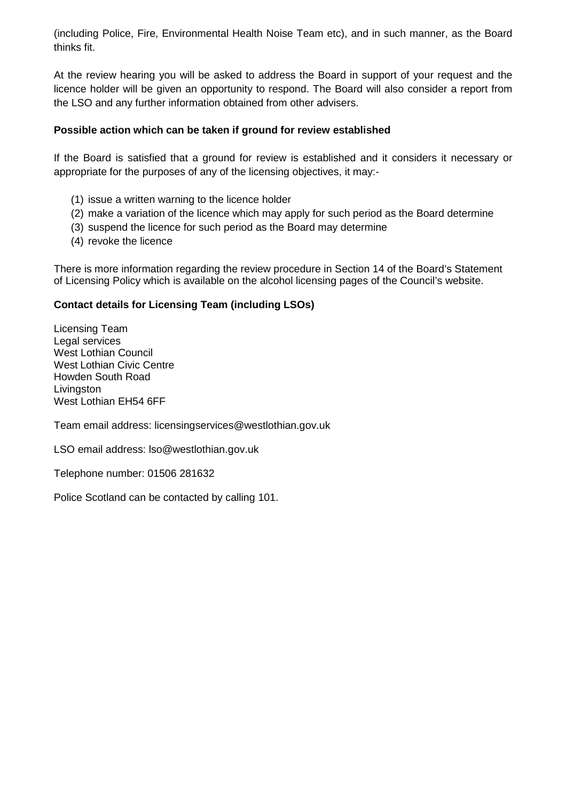(including Police, Fire, Environmental Health Noise Team etc), and in such manner, as the Board thinks fit.

At the review hearing you will be asked to address the Board in support of your request and the licence holder will be given an opportunity to respond. The Board will also consider a report from the LSO and any further information obtained from other advisers.

## **Possible action which can be taken if ground for review established**

If the Board is satisfied that a ground for review is established and it considers it necessary or appropriate for the purposes of any of the licensing objectives, it may:-

- (1) issue a written warning to the licence holder
- (2) make a variation of the licence which may apply for such period as the Board determine
- (3) suspend the licence for such period as the Board may determine
- (4) revoke the licence

There is more information regarding the review procedure in Section 14 of the Board's Statement of Licensing Policy which is available on the alcohol licensing pages of the Council's website.

## **Contact details for Licensing Team (including LSOs)**

Licensing Team Legal services West Lothian Council West Lothian Civic Centre Howden South Road **Livingston** West Lothian EH54 6FF

Team email address: licensingservices@westlothian.gov.uk

LSO email address: lso@westlothian.gov.uk

Telephone number: 01506 281632

Police Scotland can be contacted by calling 101.